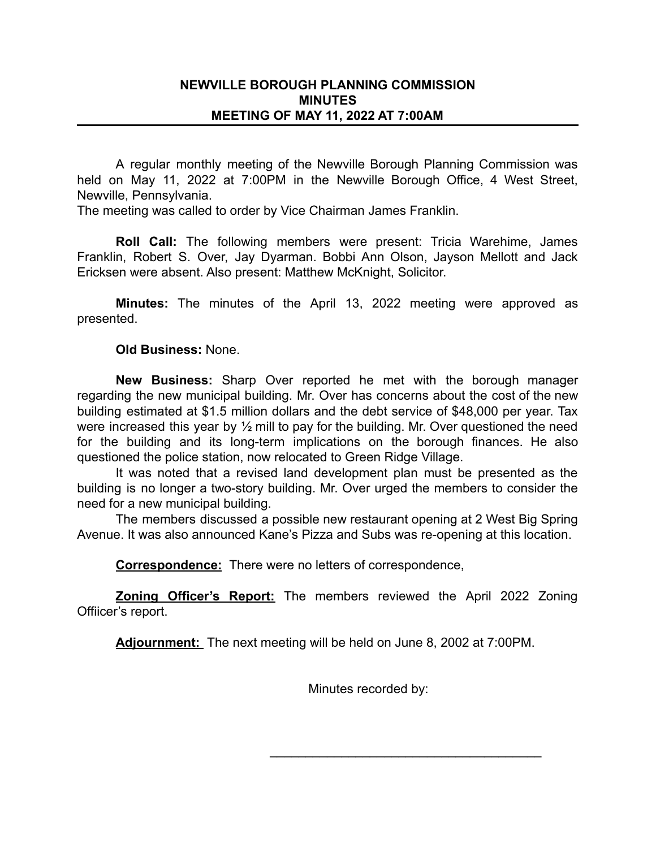## **NEWVILLE BOROUGH PLANNING COMMISSION MINUTES MEETING OF MAY 11, 2022 AT 7:00AM**

A regular monthly meeting of the Newville Borough Planning Commission was held on May 11, 2022 at 7:00PM in the Newville Borough Office, 4 West Street, Newville, Pennsylvania.

The meeting was called to order by Vice Chairman James Franklin.

**Roll Call:** The following members were present: Tricia Warehime, James Franklin, Robert S. Over, Jay Dyarman. Bobbi Ann Olson, Jayson Mellott and Jack Ericksen were absent. Also present: Matthew McKnight, Solicitor.

**Minutes:** The minutes of the April 13, 2022 meeting were approved as presented.

**Old Business:** None.

**New Business:** Sharp Over reported he met with the borough manager regarding the new municipal building. Mr. Over has concerns about the cost of the new building estimated at \$1.5 million dollars and the debt service of \$48,000 per year. Tax were increased this year by  $\frac{1}{2}$  mill to pay for the building. Mr. Over questioned the need for the building and its long-term implications on the borough finances. He also questioned the police station, now relocated to Green Ridge Village.

It was noted that a revised land development plan must be presented as the building is no longer a two-story building. Mr. Over urged the members to consider the need for a new municipal building.

The members discussed a possible new restaurant opening at 2 West Big Spring Avenue. It was also announced Kane's Pizza and Subs was re-opening at this location.

**Correspondence:** There were no letters of correspondence,

**Zoning Officer's Report:** The members reviewed the April 2022 Zoning Offiicer's report.

**Adjournment:** The next meeting will be held on June 8, 2002 at 7:00PM.

Minutes recorded by:

 $\mathcal{L}_\text{max}$  and  $\mathcal{L}_\text{max}$  and  $\mathcal{L}_\text{max}$  and  $\mathcal{L}_\text{max}$